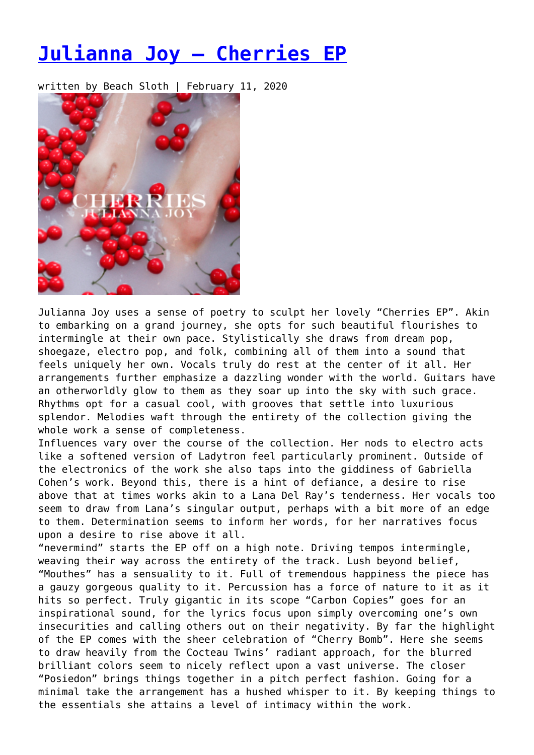## **[Julianna Joy – Cherries EP](https://entropymag.org/julianna-joy-cherries-ep/)**

written by Beach Sloth | February 11, 2020



Julianna Joy uses a sense of poetry to sculpt her lovely "Cherries EP". Akin to embarking on a grand journey, she opts for such beautiful flourishes to intermingle at their own pace. Stylistically she draws from dream pop, shoegaze, electro pop, and folk, combining all of them into a sound that feels uniquely her own. Vocals truly do rest at the center of it all. Her arrangements further emphasize a dazzling wonder with the world. Guitars have an otherworldly glow to them as they soar up into the sky with such grace. Rhythms opt for a casual cool, with grooves that settle into luxurious splendor. Melodies waft through the entirety of the collection giving the whole work a sense of completeness.

Influences vary over the course of the collection. Her nods to electro acts like a softened version of Ladytron feel particularly prominent. Outside of the electronics of the work she also taps into the giddiness of Gabriella Cohen's work. Beyond this, there is a hint of defiance, a desire to rise above that at times works akin to a Lana Del Ray's tenderness. Her vocals too seem to draw from Lana's singular output, perhaps with a bit more of an edge to them. Determination seems to inform her words, for her narratives focus upon a desire to rise above it all.

"nevermind" starts the EP off on a high note. Driving tempos intermingle, weaving their way across the entirety of the track. Lush beyond belief, "Mouthes" has a sensuality to it. Full of tremendous happiness the piece has a gauzy gorgeous quality to it. Percussion has a force of nature to it as it hits so perfect. Truly gigantic in its scope "Carbon Copies" goes for an inspirational sound, for the lyrics focus upon simply overcoming one's own insecurities and calling others out on their negativity. By far the highlight of the EP comes with the sheer celebration of "Cherry Bomb". Here she seems to draw heavily from the Cocteau Twins' radiant approach, for the blurred brilliant colors seem to nicely reflect upon a vast universe. The closer "Posiedon" brings things together in a pitch perfect fashion. Going for a minimal take the arrangement has a hushed whisper to it. By keeping things to the essentials she attains a level of intimacy within the work.